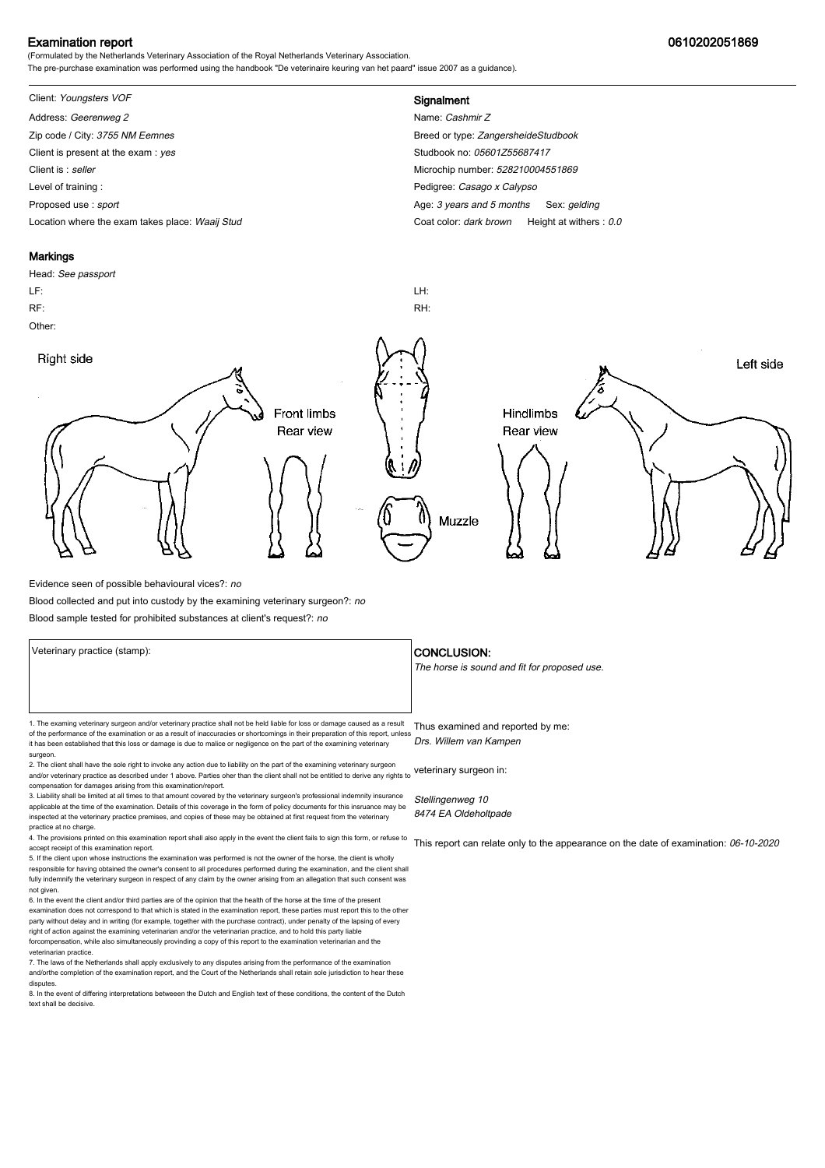### Examination report 0610202051869

(Formulated by the Netherlands Veterinary Association of the Royal Netherlands Veterinary Association. The pre-purchase examination was performed using the handbook "De veterinaire keuring van het paard" issue 2007 as a guidance).

# Client: Youngsters VOF **Signalment**

Address: Geerenweg 2 Name: Cashmir Z Zip code / City: 3755 NM Eemnes Breed or type: ZangersheideStudbook Client is present at the exam : yes Studbook no: 05601255687417 Client is : seller Microchip number: 528210004551869 Level of training : **Network** Casego x Calypso Proposed use : sport **Age: 3 years and 5 months Sex: gelding** Location where the exam takes place: Waaij Stud Coat Color: dark brown Height at withers : 0.0

#### **Markings**

Head: See passport LF: LH: RF: RH: Other: Right side Left side **Front limbs** Hindlimbs Rear view Rear view Muzzle

Evidence seen of possible behavioural vices?: no

Blood collected and put into custody by the examining veterinary surgeon?: no

Blood sample tested for prohibited substances at client's request?: no

Veterinary practice (stamp):  $\overline{\phantom{a}}$  CONCLUSION: 1. The examing veterinary surgeon and/or veterinary practice shall not be held liable for loss or damage caused as a result Thus examined and reported by me: of the performance of the examination or as a result of inaccuracies or shortcomings in their preparation of this report, unless it has been established that this loss or damage is due to malice or negligence on the part of the examining veterinary surgeon. 2. The client shall have the sole right to invoke any action due to liability on the part of the examining veterinary surgeon Drs. Willem van Kampen

and/or veterinary practice as described under 1 above. Parties oher than the client shall not be entitled to derive any rights to veterinary surgeon in: compensation for damages arising from this examination/report.

3. Liability shall be limited at all times to that amount covered by the veterinary surgeon's professional indemnity insurance applicable at the time of the examination. Details of this coverage in the form of policy documents for this insruance may be inspected at the veterinary practice premises, and copies of these may be obtained at first request from the veterinary practice at no charge.

4. The provisions printed on this examination report shall also apply in the event the client fails to sign this form, or refuse to accept receipt of this examination report.

5. If the client upon whose instructions the examination was performed is not the owner of the horse, the client is wholly responsible for having obtained the owner's consent to all procedures performed during the examination, and the client shall fully indemnify the veterinary surgeon in respect of any claim by the owner arising from an allegation that such consent was not given.

6. In the event the client and/or third parties are of the opinion that the health of the horse at the time of the present examination does not correspond to that which is stated in the examination report, these parties must report this to the other party without delay and in writing (for example, together with the purchase contract), under penalty of the lapsing of every<br>right of action against the examining veterinarian and/or the veterinarian practice, and to hold forcompensation, while also simultaneously provinding a copy of this report to the examination veterinarian and th veterinarian practice.

7. The laws of the Netherlands shall apply exclusively to any disputes arising from the performance of the examination and/orthe completion of the examination report, and the Court of the Netherlands shall retain sole jurisdiction to hear these disputes.

8. In the event of differing interpretations betweeen the Dutch and English text of these conditions, the content of the Dutch text shall be decisive.

The horse is sound and fit for proposed use.

Stellingenweg 10 8474 EA Oldeholtpade

This report can relate only to the appearance on the date of examination: 06-10-2020